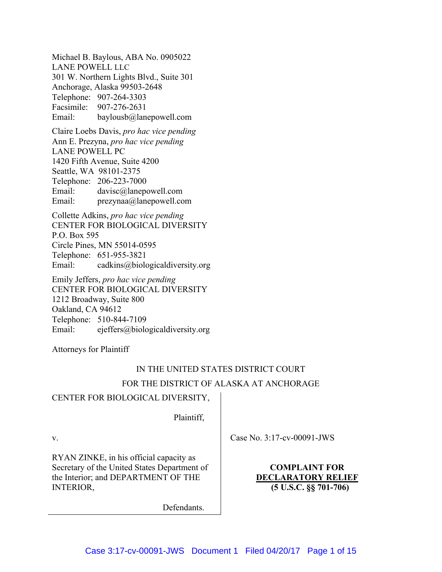Michael B. Baylous, ABA No. 0905022 LANE POWELL LLC 301 W. Northern Lights Blvd., Suite 301 Anchorage, Alaska 99503-2648 Telephone: 907-264-3303 Facsimile: 907-276-2631 Email: baylousb@lanepowell.com

Claire Loebs Davis, *pro hac vice pending* Ann E. Prezyna, *pro hac vice pending* LANE POWELL PC 1420 Fifth Avenue, Suite 4200 Seattle, WA 98101-2375 Telephone: 206-223-7000 Email: davisc@lanepowell.com Email: prezynaa@lanepowell.com

Collette Adkins, *pro hac vice pending* CENTER FOR BIOLOGICAL DIVERSITY P.O. Box 595 Circle Pines, MN 55014-0595 Telephone: 651-955-3821 Email: cadkins@biologicaldiversity.org

Emily Jeffers, *pro hac vice pending* CENTER FOR BIOLOGICAL DIVERSITY 1212 Broadway, Suite 800 Oakland, CA 94612 Telephone: 510-844-7109 Email: ejeffers@biologicaldiversity.org

Attorneys for Plaintiff

# IN THE UNITED STATES DISTRICT COURT FOR THE DISTRICT OF ALASKA AT ANCHORAGE

# CENTER FOR BIOLOGICAL DIVERSITY,

Plaintiff,

v.

RYAN ZINKE, in his official capacity as Secretary of the United States Department of the Interior; and DEPARTMENT OF THE INTERIOR,

Case No. 3:17-cv-00091-JWS

**COMPLAINT FOR DECLARATORY RELIEF (5 U.S.C. §§ 701-706)**

Defendants.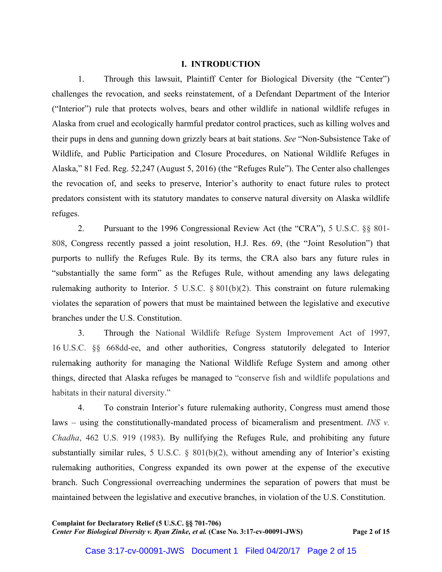## **I. INTRODUCTION**

1. Through this lawsuit, Plaintiff Center for Biological Diversity (the "Center") challenges the revocation, and seeks reinstatement, of a Defendant Department of the Interior ("Interior") rule that protects wolves, bears and other wildlife in national wildlife refuges in Alaska from cruel and ecologically harmful predator control practices, such as killing wolves and their pups in dens and gunning down grizzly bears at bait stations. *See* "Non-Subsistence Take of Wildlife, and Public Participation and Closure Procedures, on National Wildlife Refuges in Alaska," 81 Fed. Reg. 52,247 (August 5, 2016) (the "Refuges Rule"). The Center also challenges the revocation of, and seeks to preserve, Interior's authority to enact future rules to protect predators consistent with its statutory mandates to conserve natural diversity on Alaska wildlife refuges.

2. Pursuant to the 1996 Congressional Review Act (the "CRA"), 5 U.S.C. §§ 801- 808, Congress recently passed a joint resolution, H.J. Res. 69, (the "Joint Resolution") that purports to nullify the Refuges Rule. By its terms, the CRA also bars any future rules in "substantially the same form" as the Refuges Rule, without amending any laws delegating rulemaking authority to Interior. 5 U.S.C. § 801(b)(2). This constraint on future rulemaking violates the separation of powers that must be maintained between the legislative and executive branches under the U.S. Constitution.

3. Through the National Wildlife Refuge System Improvement Act of 1997, 16 U.S.C. §§ 668dd-ee, and other authorities, Congress statutorily delegated to Interior rulemaking authority for managing the National Wildlife Refuge System and among other things, directed that Alaska refuges be managed to "conserve fish and wildlife populations and habitats in their natural diversity."

4. To constrain Interior's future rulemaking authority, Congress must amend those laws – using the constitutionally-mandated process of bicameralism and presentment. *INS v. Chadha*, 462 U.S. 919 (1983). By nullifying the Refuges Rule, and prohibiting any future substantially similar rules, 5 U.S.C. § 801(b)(2), without amending any of Interior's existing rulemaking authorities, Congress expanded its own power at the expense of the executive branch. Such Congressional overreaching undermines the separation of powers that must be maintained between the legislative and executive branches, in violation of the U.S. Constitution.

**Complaint for Declaratory Relief (5 U.S.C. §§ 701-706)** *Center For Biological Diversity v. Ryan Zinke, et al.* **(Case No. 3:17-cv-00091-JWS) Page 2 of 15**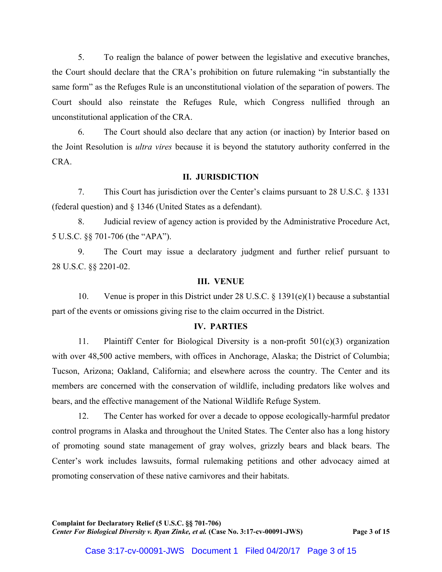5. To realign the balance of power between the legislative and executive branches, the Court should declare that the CRA's prohibition on future rulemaking "in substantially the same form" as the Refuges Rule is an unconstitutional violation of the separation of powers. The Court should also reinstate the Refuges Rule, which Congress nullified through an unconstitutional application of the CRA.

6. The Court should also declare that any action (or inaction) by Interior based on the Joint Resolution is *ultra vires* because it is beyond the statutory authority conferred in the CRA.

#### **II. JURISDICTION**

7. This Court has jurisdiction over the Center's claims pursuant to 28 U.S.C. § 1331 (federal question) and § 1346 (United States as a defendant).

8. Judicial review of agency action is provided by the Administrative Procedure Act, 5 U.S.C. §§ 701-706 (the "APA").

9. The Court may issue a declaratory judgment and further relief pursuant to 28 U.S.C. §§ 2201-02.

#### **III. VENUE**

10. Venue is proper in this District under 28 U.S.C. § 1391(e)(1) because a substantial part of the events or omissions giving rise to the claim occurred in the District.

### **IV. PARTIES**

11. Plaintiff Center for Biological Diversity is a non-profit 501(c)(3) organization with over 48,500 active members, with offices in Anchorage, Alaska; the District of Columbia; Tucson, Arizona; Oakland, California; and elsewhere across the country. The Center and its members are concerned with the conservation of wildlife, including predators like wolves and bears, and the effective management of the National Wildlife Refuge System.

12. The Center has worked for over a decade to oppose ecologically-harmful predator control programs in Alaska and throughout the United States. The Center also has a long history of promoting sound state management of gray wolves, grizzly bears and black bears. The Center's work includes lawsuits, formal rulemaking petitions and other advocacy aimed at promoting conservation of these native carnivores and their habitats.

**Complaint for Declaratory Relief (5 U.S.C. §§ 701-706)** *Center For Biological Diversity v. Ryan Zinke, et al.* **(Case No. 3:17-cv-00091-JWS) Page 3 of 15**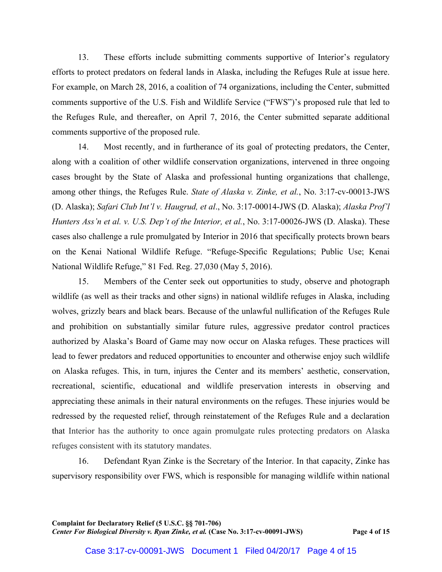13. These efforts include submitting comments supportive of Interior's regulatory efforts to protect predators on federal lands in Alaska, including the Refuges Rule at issue here. For example, on March 28, 2016, a coalition of 74 organizations, including the Center, submitted comments supportive of the U.S. Fish and Wildlife Service ("FWS")'s proposed rule that led to the Refuges Rule, and thereafter, on April 7, 2016, the Center submitted separate additional comments supportive of the proposed rule.

14. Most recently, and in furtherance of its goal of protecting predators, the Center, along with a coalition of other wildlife conservation organizations, intervened in three ongoing cases brought by the State of Alaska and professional hunting organizations that challenge, among other things, the Refuges Rule. *State of Alaska v. Zinke, et al.*, No. 3:17-cv-00013-JWS (D. Alaska); *Safari Club Int'l v. Haugrud, et al*., No. 3:17-00014-JWS (D. Alaska); *Alaska Prof'l Hunters Ass'n et al. v. U.S. Dep't of the Interior, et al.*, No. 3:17-00026-JWS (D. Alaska). These cases also challenge a rule promulgated by Interior in 2016 that specifically protects brown bears on the Kenai National Wildlife Refuge. "Refuge-Specific Regulations; Public Use; Kenai National Wildlife Refuge," 81 Fed. Reg. 27,030 (May 5, 2016).

15. Members of the Center seek out opportunities to study, observe and photograph wildlife (as well as their tracks and other signs) in national wildlife refuges in Alaska, including wolves, grizzly bears and black bears. Because of the unlawful nullification of the Refuges Rule and prohibition on substantially similar future rules, aggressive predator control practices authorized by Alaska's Board of Game may now occur on Alaska refuges. These practices will lead to fewer predators and reduced opportunities to encounter and otherwise enjoy such wildlife on Alaska refuges. This, in turn, injures the Center and its members' aesthetic, conservation, recreational, scientific, educational and wildlife preservation interests in observing and appreciating these animals in their natural environments on the refuges. These injuries would be redressed by the requested relief, through reinstatement of the Refuges Rule and a declaration that Interior has the authority to once again promulgate rules protecting predators on Alaska refuges consistent with its statutory mandates.

16. Defendant Ryan Zinke is the Secretary of the Interior. In that capacity, Zinke has supervisory responsibility over FWS, which is responsible for managing wildlife within national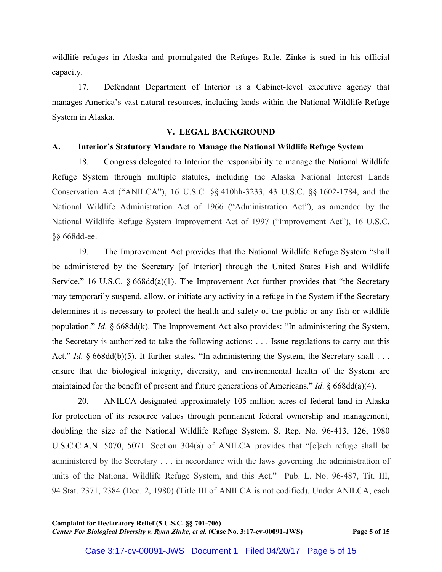wildlife refuges in Alaska and promulgated the Refuges Rule. Zinke is sued in his official capacity.

17. Defendant Department of Interior is a Cabinet-level executive agency that manages America's vast natural resources, including lands within the National Wildlife Refuge System in Alaska.

#### **V. LEGAL BACKGROUND**

#### **A. Interior's Statutory Mandate to Manage the National Wildlife Refuge System**

18. Congress delegated to Interior the responsibility to manage the National Wildlife Refuge System through multiple statutes, including the Alaska National Interest Lands Conservation Act ("ANILCA"), 16 U.S.C. §§ 410hh-3233, 43 U.S.C. §§ 1602-1784, and the National Wildlife Administration Act of 1966 ("Administration Act"), as amended by the National Wildlife Refuge System Improvement Act of 1997 ("Improvement Act"), 16 U.S.C. §§ 668dd-ee.

19. The Improvement Act provides that the National Wildlife Refuge System "shall be administered by the Secretary [of Interior] through the United States Fish and Wildlife Service." 16 U.S.C. § 668dd(a)(1). The Improvement Act further provides that "the Secretary may temporarily suspend, allow, or initiate any activity in a refuge in the System if the Secretary determines it is necessary to protect the health and safety of the public or any fish or wildlife population." *Id*. § 668dd(k). The Improvement Act also provides: "In administering the System, the Secretary is authorized to take the following actions: . . . Issue regulations to carry out this Act." *Id.* § 668dd(b)(5). It further states, "In administering the System, the Secretary shall . . . ensure that the biological integrity, diversity, and environmental health of the System are maintained for the benefit of present and future generations of Americans." *Id*. § 668dd(a)(4).

20. ANILCA designated approximately 105 million acres of federal land in Alaska for protection of its resource values through permanent federal ownership and management, doubling the size of the National Wildlife Refuge System. S. Rep. No. 96-413, 126, 1980 U.S.C.C.A.N. 5070, 5071. Section 304(a) of ANILCA provides that "[e]ach refuge shall be administered by the Secretary . . . in accordance with the laws governing the administration of units of the National Wildlife Refuge System, and this Act." Pub. L. No. 96-487, Tit. III, 94 Stat. 2371, 2384 (Dec. 2, 1980) (Title III of ANILCA is not codified). Under ANILCA, each

**Complaint for Declaratory Relief (5 U.S.C. §§ 701-706)** *Center For Biological Diversity v. Ryan Zinke, et al.* **(Case No. 3:17-cv-00091-JWS) Page 5 of 15**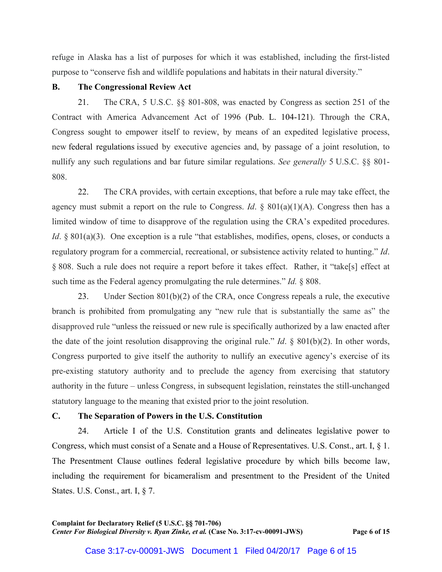refuge in Alaska has a list of purposes for which it was established, including the first-listed purpose to "conserve fish and wildlife populations and habitats in their natural diversity."

#### **B. The Congressional Review Act**

21. The CRA, 5 U.S.C. §§ 801-808, was enacted by Congress as section 251 of the Contract with America Advancement Act of 1996 (Pub. L. 104-121). Through the CRA, Congress sought to empower itself to review, by means of an expedited legislative process, new federal regulations issued by executive agencies and, by passage of a joint resolution, to nullify any such regulations and bar future similar regulations. *See generally* 5 U.S.C. §§ 801- 808.

22. The CRA provides, with certain exceptions, that before a rule may take effect, the agency must submit a report on the rule to Congress. *Id.*  $\&$  801(a)(1)(A). Congress then has a limited window of time to disapprove of the regulation using the CRA's expedited procedures. *Id.* § 801(a)(3). One exception is a rule "that establishes, modifies, opens, closes, or conducts a regulatory program for a commercial, recreational, or subsistence activity related to hunting." *Id*. § 808. Such a rule does not require a report before it takes effect. Rather, it "take[s] effect at such time as the Federal agency promulgating the rule determines." *Id.* § 808.

23. Under Section 801(b)(2) of the CRA, once Congress repeals a rule, the executive branch is prohibited from promulgating any "new rule that is substantially the same as" the disapproved rule "unless the reissued or new rule is specifically authorized by a law enacted after the date of the joint resolution disapproving the original rule." *Id*. § 801(b)(2). In other words, Congress purported to give itself the authority to nullify an executive agency's exercise of its pre-existing statutory authority and to preclude the agency from exercising that statutory authority in the future – unless Congress, in subsequent legislation, reinstates the still-unchanged statutory language to the meaning that existed prior to the joint resolution.

#### **C. The Separation of Powers in the U.S. Constitution**

24. Article I of the U.S. Constitution grants and delineates legislative power to Congress, which must consist of a Senate and a House of Representatives. U.S. Const., art. I, § 1. The Presentment Clause outlines federal legislative procedure by which bills become law, including the requirement for bicameralism and presentment to the President of the United States. U.S. Const., art. I, § 7.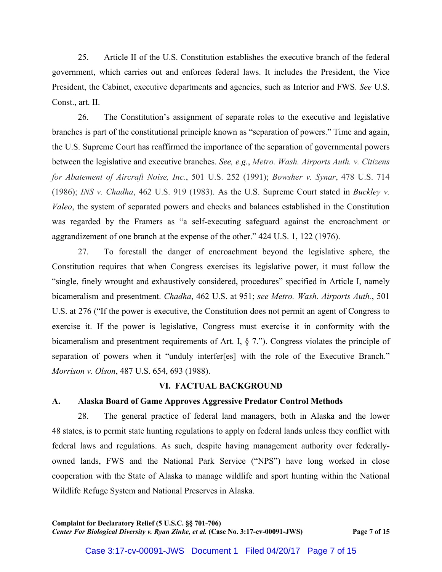25. Article II of the U.S. Constitution establishes the executive branch of the federal government, which carries out and enforces federal laws. It includes the President, the Vice President, the Cabinet, executive departments and agencies, such as Interior and FWS. *See* U.S. Const., art. II.

26. The Constitution's assignment of separate roles to the executive and legislative branches is part of the constitutional principle known as "separation of powers." Time and again, the U.S. Supreme Court has reaffirmed the importance of the separation of governmental powers between the legislative and executive branches. *See, e.g.*, *Metro. Wash. Airports Auth. v. Citizens for Abatement of Aircraft Noise, Inc.*, 501 U.S. 252 (1991); *Bowsher v. Synar*, 478 U.S. 714 (1986); *INS v. Chadha*, 462 U.S. 919 (1983). As the U.S. Supreme Court stated in *Buckley v. Valeo*, the system of separated powers and checks and balances established in the Constitution was regarded by the Framers as "a self-executing safeguard against the encroachment or aggrandizement of one branch at the expense of the other." 424 U.S. 1, 122 (1976).

27. To forestall the danger of encroachment beyond the legislative sphere, the Constitution requires that when Congress exercises its legislative power, it must follow the "single, finely wrought and exhaustively considered, procedures" specified in Article I, namely bicameralism and presentment. *Chadha*, 462 U.S. at 951; *see Metro. Wash. Airports Auth.*, 501 U.S. at 276 ("If the power is executive, the Constitution does not permit an agent of Congress to exercise it. If the power is legislative, Congress must exercise it in conformity with the bicameralism and presentment requirements of Art. I, § 7."). Congress violates the principle of separation of powers when it "unduly interfer[es] with the role of the Executive Branch." *Morrison v. Olson*, 487 U.S. 654, 693 (1988).

#### **VI. FACTUAL BACKGROUND**

## **A. Alaska Board of Game Approves Aggressive Predator Control Methods**

28. The general practice of federal land managers, both in Alaska and the lower 48 states, is to permit state hunting regulations to apply on federal lands unless they conflict with federal laws and regulations. As such, despite having management authority over federallyowned lands, FWS and the National Park Service ("NPS") have long worked in close cooperation with the State of Alaska to manage wildlife and sport hunting within the National Wildlife Refuge System and National Preserves in Alaska.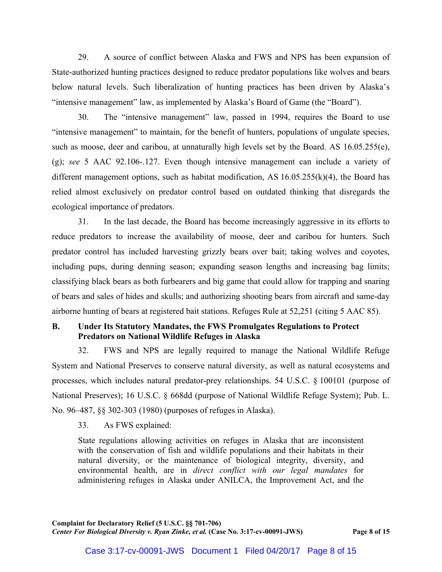29. A source of conflict between Alaska and FWS and NPS has been expansion of State-authorized hunting practices designed to reduce predator populations like wolves and bears below natural levels. Such liberalization of hunting practices has been driven by Alaska's "intensive management" law, as implemented by Alaska's Board of Game (the "Board").

30. The "intensive management" law, passed in 1994, requires the Board to use "intensive management" to maintain, for the benefit of hunters, populations of ungulate species, such as moose, deer and caribou, at unnaturally high levels set by the Board. AS 16.05.255(e), (g); *see* 5 AAC 92.106-.127. Even though intensive management can include a variety of different management options, such as habitat modification, AS 16.05.255(k)(4), the Board has relied almost exclusively on predator control based on outdated thinking that disregards the ecological importance of predators.

31. In the last decade, the Board has become increasingly aggressive in its efforts to reduce predators to increase the availability of moose, deer and caribou for hunters. Such predator control has included harvesting grizzly bears over bait; taking wolves and coyotes, including pups, during denning season; expanding season lengths and increasing bag limits; classifying black bears as both furbearers and big game that could allow for trapping and snaring of bears and sales of hides and skulls; and authorizing shooting bears from aircraft and same-day airborne hunting of bears at registered bait stations. Refuges Rule at 52,251 (citing 5 AAC 85).

# **B. Under Its Statutory Mandates, the FWS Promulgates Regulations to Protect Predators on National Wildlife Refuges in Alaska**

32. FWS and NPS are legally required to manage the National Wildlife Refuge System and National Preserves to conserve natural diversity, as well as natural ecosystems and processes, which includes natural predator-prey relationships. 54 U.S.C. § 100101 (purpose of National Preserves); 16 U.S.C. § 668dd (purpose of National Wildlife Refuge System); Pub. L. No. 96–487, §§ 302-303 (1980) (purposes of refuges in Alaska).

33. As FWS explained:

State regulations allowing activities on refuges in Alaska that are inconsistent with the conservation of fish and wildlife populations and their habitats in their natural diversity, or the maintenance of biological integrity, diversity, and environmental health, are in *direct conflict with our legal mandates* for administering refuges in Alaska under ANILCA, the Improvement Act, and the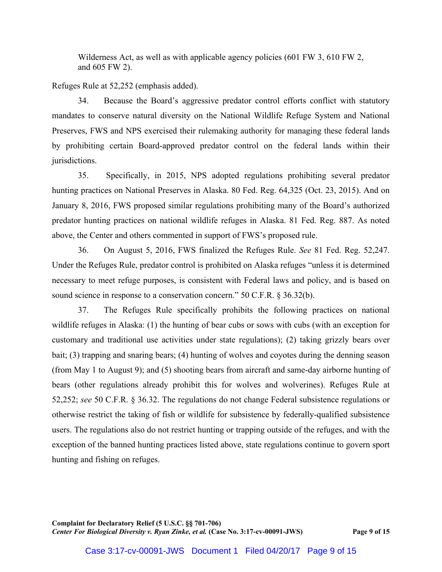Wilderness Act, as well as with applicable agency policies (601 FW 3, 610 FW 2, and 605 FW 2).

Refuges Rule at 52,252 (emphasis added).

34. Because the Board's aggressive predator control efforts conflict with statutory mandates to conserve natural diversity on the National Wildlife Refuge System and National Preserves, FWS and NPS exercised their rulemaking authority for managing these federal lands by prohibiting certain Board-approved predator control on the federal lands within their jurisdictions.

35. Specifically, in 2015, NPS adopted regulations prohibiting several predator hunting practices on National Preserves in Alaska. 80 Fed. Reg. 64,325 (Oct. 23, 2015). And on January 8, 2016, FWS proposed similar regulations prohibiting many of the Board's authorized predator hunting practices on national wildlife refuges in Alaska. 81 Fed. Reg. 887. As noted above, the Center and others commented in support of FWS's proposed rule.

36. On August 5, 2016, FWS finalized the Refuges Rule. *See* 81 Fed. Reg. 52,247. Under the Refuges Rule, predator control is prohibited on Alaska refuges "unless it is determined necessary to meet refuge purposes, is consistent with Federal laws and policy, and is based on sound science in response to a conservation concern." 50 C.F.R. § 36.32(b).

37. The Refuges Rule specifically prohibits the following practices on national wildlife refuges in Alaska: (1) the hunting of bear cubs or sows with cubs (with an exception for customary and traditional use activities under state regulations); (2) taking grizzly bears over bait; (3) trapping and snaring bears; (4) hunting of wolves and coyotes during the denning season (from May 1 to August 9); and (5) shooting bears from aircraft and same-day airborne hunting of bears (other regulations already prohibit this for wolves and wolverines). Refuges Rule at 52,252; *see* 50 C.F.R. § 36.32. The regulations do not change Federal subsistence regulations or otherwise restrict the taking of fish or wildlife for subsistence by federally-qualified subsistence users. The regulations also do not restrict hunting or trapping outside of the refuges, and with the exception of the banned hunting practices listed above, state regulations continue to govern sport hunting and fishing on refuges.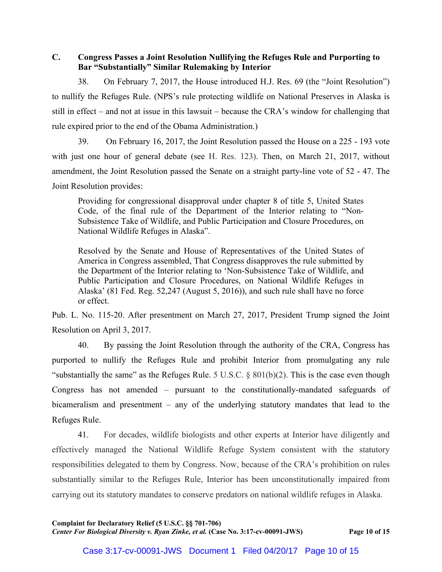# **C. Congress Passes a Joint Resolution Nullifying the Refuges Rule and Purporting to Bar "Substantially" Similar Rulemaking by Interior**

38. On February 7, 2017, the House introduced H.J. Res. 69 (the "Joint Resolution") to nullify the Refuges Rule. (NPS's rule protecting wildlife on National Preserves in Alaska is still in effect – and not at issue in this lawsuit – because the CRA's window for challenging that rule expired prior to the end of the Obama Administration.)

39. On February 16, 2017, the Joint Resolution passed the House on a 225 - 193 vote with just one hour of general debate (see H. Res. 123). Then, on March 21, 2017, without amendment, the Joint Resolution passed the Senate on a straight party-line vote of 52 - 47. The Joint Resolution provides:

Providing for congressional disapproval under chapter 8 of title 5, United States Code, of the final rule of the Department of the Interior relating to "Non-Subsistence Take of Wildlife, and Public Participation and Closure Procedures, on National Wildlife Refuges in Alaska".

Resolved by the Senate and House of Representatives of the United States of America in Congress assembled, That Congress disapproves the rule submitted by the Department of the Interior relating to 'Non-Subsistence Take of Wildlife, and Public Participation and Closure Procedures, on National Wildlife Refuges in Alaska' (81 Fed. Reg. 52,247 (August 5, 2016)), and such rule shall have no force or effect.

Pub. L. No. 115-20. After presentment on March 27, 2017, President Trump signed the Joint Resolution on April 3, 2017.

40. By passing the Joint Resolution through the authority of the CRA, Congress has purported to nullify the Refuges Rule and prohibit Interior from promulgating any rule "substantially the same" as the Refuges Rule. 5 U.S.C.  $\S$  801(b)(2). This is the case even though Congress has not amended – pursuant to the constitutionally-mandated safeguards of bicameralism and presentment – any of the underlying statutory mandates that lead to the Refuges Rule.

41. For decades, wildlife biologists and other experts at Interior have diligently and effectively managed the National Wildlife Refuge System consistent with the statutory responsibilities delegated to them by Congress. Now, because of the CRA's prohibition on rules substantially similar to the Refuges Rule, Interior has been unconstitutionally impaired from carrying out its statutory mandates to conserve predators on national wildlife refuges in Alaska.

**Complaint for Declaratory Relief (5 U.S.C. §§ 701-706)** *Center For Biological Diversity v. Ryan Zinke, et al.* **(Case No. 3:17-cv-00091-JWS) Page 10 of 15**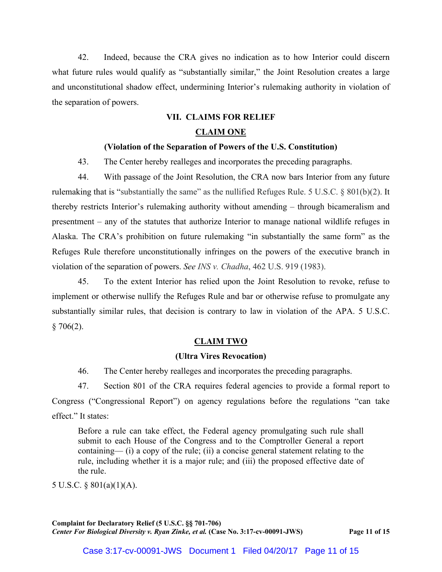42. Indeed, because the CRA gives no indication as to how Interior could discern what future rules would qualify as "substantially similar," the Joint Resolution creates a large and unconstitutional shadow effect, undermining Interior's rulemaking authority in violation of the separation of powers.

## **VII. CLAIMS FOR RELIEF**

### **CLAIM ONE**

## **(Violation of the Separation of Powers of the U.S. Constitution)**

43. The Center hereby realleges and incorporates the preceding paragraphs.

44. With passage of the Joint Resolution, the CRA now bars Interior from any future rulemaking that is "substantially the same" as the nullified Refuges Rule. 5 U.S.C. § 801(b)(2). It thereby restricts Interior's rulemaking authority without amending – through bicameralism and presentment – any of the statutes that authorize Interior to manage national wildlife refuges in Alaska. The CRA's prohibition on future rulemaking "in substantially the same form" as the Refuges Rule therefore unconstitutionally infringes on the powers of the executive branch in violation of the separation of powers. *See INS v. Chadha*, 462 U.S. 919 (1983).

45. To the extent Interior has relied upon the Joint Resolution to revoke, refuse to implement or otherwise nullify the Refuges Rule and bar or otherwise refuse to promulgate any substantially similar rules, that decision is contrary to law in violation of the APA. 5 U.S.C.  $§ 706(2).$ 

## **CLAIM TWO**

#### **(Ultra Vires Revocation)**

46. The Center hereby realleges and incorporates the preceding paragraphs.

47. Section 801 of the CRA requires federal agencies to provide a formal report to Congress ("Congressional Report") on agency regulations before the regulations "can take effect." It states:

Before a rule can take effect, the Federal agency promulgating such rule shall submit to each House of the Congress and to the Comptroller General a report containing— (i) a copy of the rule; (ii) a concise general statement relating to the rule, including whether it is a major rule; and (iii) the proposed effective date of the rule.

5 U.S.C. § 801(a)(1)(A).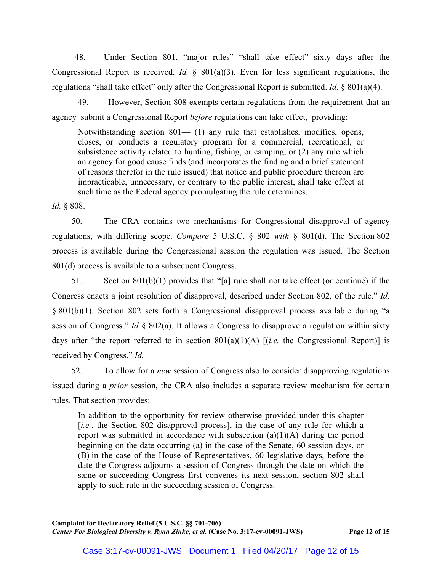48. Under Section 801, "major rules" "shall take effect" sixty days after the Congressional Report is received. *Id.* § 801(a)(3). Even for less significant regulations, the regulations "shall take effect" only after the Congressional Report is submitted. *Id.* § 801(a)(4).

49. However, Section 808 exempts certain regulations from the requirement that an agency submit a Congressional Report *before* regulations can take effect, providing:

Notwithstanding section  $801 - (1)$  any rule that establishes, modifies, opens, closes, or conducts a regulatory program for a commercial, recreational, or subsistence activity related to hunting, fishing, or camping, or (2) any rule which an agency for good cause finds (and incorporates the finding and a brief statement of reasons therefor in the rule issued) that notice and public procedure thereon are impracticable, unnecessary, or contrary to the public interest, shall take effect at such time as the Federal agency promulgating the rule determines.

*Id.* § 808.

50. The CRA contains two mechanisms for Congressional disapproval of agency regulations, with differing scope. *Compare* 5 U.S.C. § 802 *with* § 801(d). The Section 802 process is available during the Congressional session the regulation was issued. The Section 801(d) process is available to a subsequent Congress.

51. Section 801(b)(1) provides that "[a] rule shall not take effect (or continue) if the Congress enacts a joint resolution of disapproval, described under Section 802, of the rule." *Id.* § 801(b)(1). Section 802 sets forth a Congressional disapproval process available during "a session of Congress." *Id* § 802(a). It allows a Congress to disapprove a regulation within sixty days after "the report referred to in section 801(a)(1)(A) [(*i.e.* the Congressional Report)] is received by Congress." *Id.*

52. To allow for a *new* session of Congress also to consider disapproving regulations issued during a *prior* session, the CRA also includes a separate review mechanism for certain rules. That section provides:

In addition to the opportunity for review otherwise provided under this chapter [*i.e.*, the Section 802 disapproval process], in the case of any rule for which a report was submitted in accordance with subsection  $(a)(1)(A)$  during the period beginning on the date occurring (a) in the case of the Senate, 60 session days, or (B) in the case of the House of Representatives, 60 legislative days, before the date the Congress adjourns a session of Congress through the date on which the same or succeeding Congress first convenes its next session, section 802 shall apply to such rule in the succeeding session of Congress.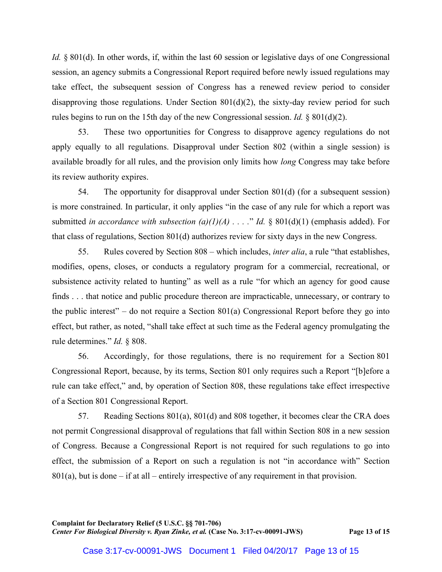*Id.* § 801(d). In other words, if, within the last 60 session or legislative days of one Congressional session, an agency submits a Congressional Report required before newly issued regulations may take effect, the subsequent session of Congress has a renewed review period to consider disapproving those regulations. Under Section 801(d)(2), the sixty-day review period for such rules begins to run on the 15th day of the new Congressional session. *Id.* § 801(d)(2).

53. These two opportunities for Congress to disapprove agency regulations do not apply equally to all regulations. Disapproval under Section 802 (within a single session) is available broadly for all rules, and the provision only limits how *long* Congress may take before its review authority expires.

54. The opportunity for disapproval under Section 801(d) (for a subsequent session) is more constrained. In particular, it only applies "in the case of any rule for which a report was submitted *in accordance with subsection (a)(1)(A) . . . .*" *Id.* § 801(d)(1) (emphasis added). For that class of regulations, Section 801(d) authorizes review for sixty days in the new Congress.

55. Rules covered by Section 808 – which includes, *inter alia*, a rule "that establishes, modifies, opens, closes, or conducts a regulatory program for a commercial, recreational, or subsistence activity related to hunting" as well as a rule "for which an agency for good cause finds . . . that notice and public procedure thereon are impracticable, unnecessary, or contrary to the public interest" – do not require a Section  $801(a)$  Congressional Report before they go into effect, but rather, as noted, "shall take effect at such time as the Federal agency promulgating the rule determines." *Id.* § 808.

56. Accordingly, for those regulations, there is no requirement for a Section 801 Congressional Report, because, by its terms, Section 801 only requires such a Report "[b]efore a rule can take effect," and, by operation of Section 808, these regulations take effect irrespective of a Section 801 Congressional Report.

57. Reading Sections 801(a), 801(d) and 808 together, it becomes clear the CRA does not permit Congressional disapproval of regulations that fall within Section 808 in a new session of Congress. Because a Congressional Report is not required for such regulations to go into effect, the submission of a Report on such a regulation is not "in accordance with" Section  $801(a)$ , but is done – if at all – entirely irrespective of any requirement in that provision.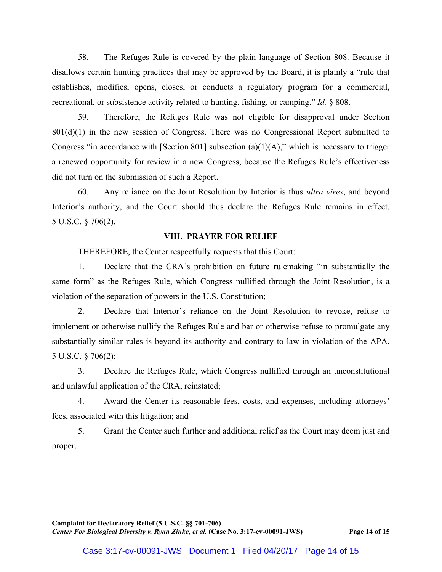58. The Refuges Rule is covered by the plain language of Section 808. Because it disallows certain hunting practices that may be approved by the Board, it is plainly a "rule that establishes, modifies, opens, closes, or conducts a regulatory program for a commercial, recreational, or subsistence activity related to hunting, fishing, or camping." *Id.* § 808.

59. Therefore, the Refuges Rule was not eligible for disapproval under Section  $801(d)(1)$  in the new session of Congress. There was no Congressional Report submitted to Congress "in accordance with [Section 801] subsection (a)(1)(A)," which is necessary to trigger a renewed opportunity for review in a new Congress, because the Refuges Rule's effectiveness did not turn on the submission of such a Report.

60. Any reliance on the Joint Resolution by Interior is thus *ultra vires*, and beyond Interior's authority, and the Court should thus declare the Refuges Rule remains in effect. 5 U.S.C. § 706(2).

#### **VIII. PRAYER FOR RELIEF**

THEREFORE, the Center respectfully requests that this Court:

1. Declare that the CRA's prohibition on future rulemaking "in substantially the same form" as the Refuges Rule, which Congress nullified through the Joint Resolution, is a violation of the separation of powers in the U.S. Constitution;

2. Declare that Interior's reliance on the Joint Resolution to revoke, refuse to implement or otherwise nullify the Refuges Rule and bar or otherwise refuse to promulgate any substantially similar rules is beyond its authority and contrary to law in violation of the APA. 5 U.S.C. § 706(2);

3. Declare the Refuges Rule, which Congress nullified through an unconstitutional and unlawful application of the CRA, reinstated;

4. Award the Center its reasonable fees, costs, and expenses, including attorneys' fees, associated with this litigation; and

5. Grant the Center such further and additional relief as the Court may deem just and proper.